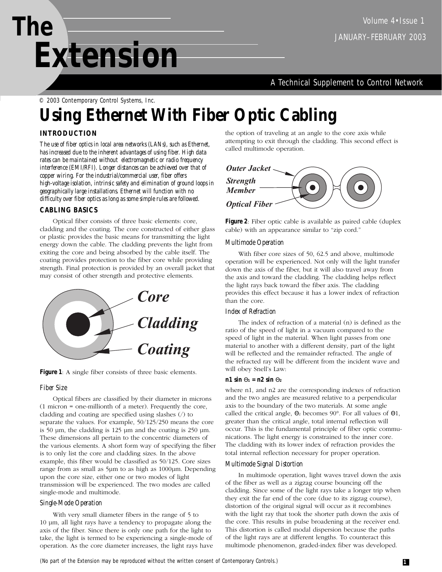A Technical Supplement to Control Network

© 2003 Contemporary Control Systems, Inc.

# **Using Ethernet With Fiber Optic Cabling**

# **INTRODUCTION**

*The use of fiber optics in local area networks (LANs), such as Ethernet, has increased due to the inherent advantages of using fiber. High data rates can be maintained without electromagnetic or radio frequency interference (EMI/RFI). Longer distances can be achieved over that of copper wiring. For the industrial/commercial user, fiber offers high-voltage isolation, intrinsic safety and elimination of ground loops in geographically large installations. Ethernet will function with no difficulty over fiber optics as long as some simple rules are followed.* 

# **CABLING BASICS**

Optical fiber consists of three basic elements: core, cladding and the coating. The core constructed of either glass or plastic provides the basic means for transmitting the light energy down the cable. The cladding prevents the light from exiting the core and being absorbed by the cable itself. The coating provides protection to the fiber core while providing strength. Final protection is provided by an overall jacket that may consist of other strength and protective elements.



**Figure 1**: A single fiber consists of three basic elements.

# *Fiber Size*

Optical fibers are classified by their diameter in microns (1 micron = one-millionth of a meter). Frequently the core, cladding and coating are specified using slashes (/) to separate the values. For example, 50/125/250 means the core is 50 µm, the cladding is 125 µm and the coating is 250 µm. These dimensions all pertain to the concentric diameters of the various elements. A short form way of specifying the fiber is to only list the core and cladding sizes. In the above example, this fiber would be classified as 50/125. Core sizes range from as small as 5µm to as high as 1000µm. Depending upon the core size, either one or two modes of light transmission will be experienced. The two modes are called single-mode and multimode.

## *Single-Mode Operation*

With very small diameter fibers in the range of 5 to 10 µm, all light rays have a tendency to propagate along the axis of the fiber. Since there is only one path for the light to take, the light is termed to be experiencing a single-mode of operation. As the core diameter increases, the light rays have the option of traveling at an angle to the core axis while attempting to exit through the cladding. This second effect is called multimode operation.



**Figure 2**: Fiber optic cable is available as paired cable (duplex cable) with an appearance similar to "zip cord."

## *Multimode Operation*

With fiber core sizes of 50, 62.5 and above, multimode operation will be experienced. Not only will the light transfer down the axis of the fiber, but it will also travel away from the axis and toward the cladding. The cladding helps reflect the light rays back toward the fiber axis. The cladding provides this effect because it has a lower index of refraction than the core.

# *Index of Refraction*

The index of refraction of a material (n) is defined as the ratio of the speed of light in a vacuum compared to the speed of light in the material. When light passes from one material to another with a different density, part of the light will be reflected and the remainder refracted. The angle of the refracted ray will be different from the incident wave and will obey Snell's Law:

#### **n1** sin  $\Theta_1 = n2 \sin \Theta_2$

where n1, and n2 are the corresponding indexes of refraction and the two angles are measured relative to a perpendicular axis to the boundary of the two materials. At some angle called the critical angle,  $\Theta_2$  becomes 90°. For all values of  $\Theta_1$ , greater than the critical angle, total internal reflection will occur. This is the fundamental principle of fiber optic communications. The light energy is constrained to the inner core. The cladding with its lower index of refraction provides the total internal reflection necessary for proper operation.

## *Multimode Signal Distortion*

In multimode operation, light waves travel down the axis of the fiber as well as a zigzag course bouncing off the cladding. Since some of the light rays take a longer trip when they exit the far end of the core (due to its zigzag course), distortion of the original signal will occur as it recombines with the light ray that took the shorter path down the axis of the core. This results in pulse broadening at the receiver end. This distortion is called modal dispersion because the paths of the light rays are at different lengths. To counteract this multimode phenomenon, graded-index fiber was developed.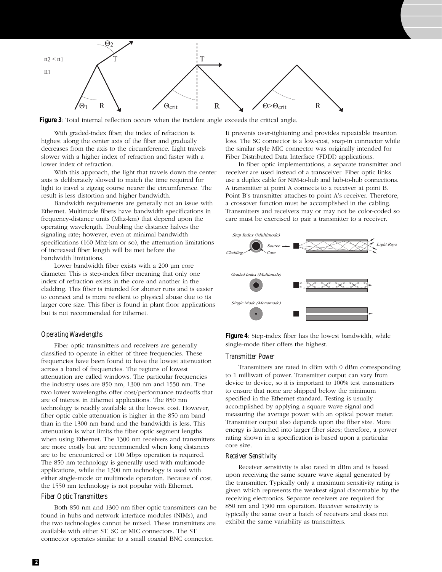

**Figure 3**: Total internal reflection occurs when the incident angle exceeds the critical angle.

With graded-index fiber, the index of refraction is highest along the center axis of the fiber and gradually decreases from the axis to the circumference. Light travels slower with a higher index of refraction and faster with a lower index of refraction.

With this approach, the light that travels down the center axis is deliberately slowed to match the time required for light to travel a zigzag course nearer the circumference. The result is less distortion and higher bandwidth.

Bandwidth requirements are generally not an issue with Ethernet. Multimode fibers have bandwidth specifications in frequency-distance units (Mhz-km) that depend upon the operating wavelength. Doubling the distance halves the signaling rate; however, even at minimal bandwidth specifications (160 Mhz-km or so), the attenuation limitations of increased fiber length will be met before the bandwidth limitations.

Lower bandwidth fiber exists with a 200 µm core diameter. This is step-index fiber meaning that only one index of refraction exists in the core and another in the cladding. This fiber is intended for shorter runs and is easier to connect and is more resilient to physical abuse due to its larger core size. This fiber is found in plant floor applications but is not recommended for Ethernet.

#### *Operating Wavelengths*

Fiber optic transmitters and receivers are generally classified to operate in either of three frequencies. These frequencies have been found to have the lowest attenuation across a band of frequencies. The regions of lowest attenuation are called windows. The particular frequencies the industry uses are 850 nm, 1300 nm and 1550 nm. The two lower wavelengths offer cost/performance tradeoffs that are of interest in Ethernet applications. The 850 nm technology is readily available at the lowest cost. However, fiber optic cable attenuation is higher in the 850 nm band than in the 1300 nm band and the bandwidth is less. This attenuation is what limits the fiber optic segment lengths when using Ethernet. The 1300 nm receivers and transmitters are more costly but are recommended when long distances are to be encountered or 100 Mbps operation is required. The 850 nm technology is generally used with multimode applications, while the 1300 nm technology is used with either single-mode or multimode operation. Because of cost, the 1550 nm technology is not popular with Ethernet.

#### *Fiber Optic Transmitters*

Both 850 nm and 1300 nm fiber optic transmitters can be found in hubs and network interface modules (NIMs), and the two technologies cannot be mixed. These transmitters are available with either ST, SC or MIC connectors. The ST connector operates similar to a small coaxial BNC connector.

It prevents over-tightening and provides repeatable insertion loss. The SC connector is a low-cost, snap-in connector while the similar style MIC connector was originally intended for Fiber Distributed Data Interface (FDDI) applications.

In fiber optic implementations, a separate transmitter and receiver are used instead of a transceiver. Fiber optic links use a duplex cable for NIM-to-hub and hub-to-hub connections. A transmitter at point A connects to a receiver at point B. Point B's transmitter attaches to point A's receiver. Therefore, a crossover function must be accomplished in the cabling. Transmitters and receivers may or may not be color-coded so care must be exercised to pair a transmitter to a receiver.



**Figure 4**: Step-index fiber has the lowest bandwidth, while single-mode fiber offers the highest.

#### *Transmitter Power*

Transmitters are rated in dBm with 0 dBm corresponding to 1 milliwatt of power. Transmitter output can vary from device to device, so it is important to 100% test transmitters to ensure that none are shipped below the minimum specified in the Ethernet standard. Testing is usually accomplished by applying a square wave signal and measuring the average power with an optical power meter. Transmitter output also depends upon the fiber size. More energy is launched into larger fiber sizes; therefore, a power rating shown in a specification is based upon a particular core size.

#### *Receiver Sensitivity*

Receiver sensitivity is also rated in dBm and is based upon receiving the same square wave signal generated by the transmitter. Typically only a maximum sensitivity rating is given which represents the weakest signal discernable by the receiving electronics. Separate receivers are required for 850 nm and 1300 nm operation. Receiver sensitivity is typically the same over a batch of receivers and does not exhibit the same variability as transmitters.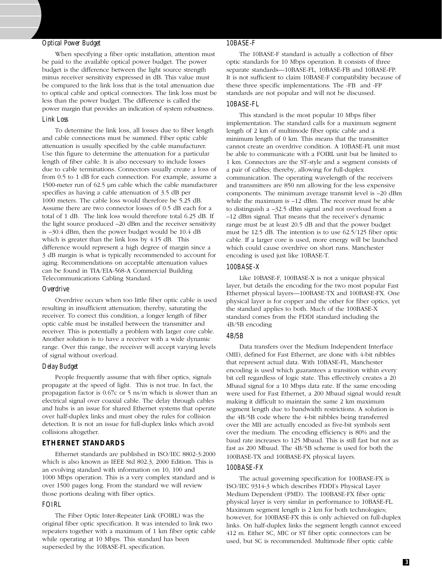#### *Optical Power Budget*

When specifying a fiber optic installation, attention must be paid to the available optical power budget. The power budget is the difference between the light source strength minus receiver sensitivity expressed in dB. This value must be compared to the link loss that is the total attenuation due to optical cable and optical connectors. The link loss must be less than the power budget. The difference is called the power margin that provides an indication of system robustness.

#### *Link Loss*

To determine the link loss, all losses due to fiber length and cable connections must be summed. Fiber optic cable attenuation is usually specified by the cable manufacturer. Use this figure to determine the attenuation for a particular length of fiber cable. It is also necessary to include losses due to cable terminations. Connectors usually create a loss of from 0.5 to 1 dB for each connection. For example, assume a 1500-meter run of 62.5 µm cable which the cable manufacturer specifies as having a cable attenuation of 3.5 dB per 1000 meters. The cable loss would therefore be 5.25 dB. Assume there are two connector losses of 0.5 dB each for a total of 1 dB. The link loss would therefore total 6.25 dB. If the light source produced –20 dBm and the receiver sensitivity is –30.4 dBm, then the power budget would be 10.4 dB which is greater than the link loss by 4.15 dB. This difference would represent a high degree of margin since a 3 dB margin is what is typically recommended to account for aging. Recommendations on acceptable attenuation values can be found in TIA/EIA-568-A Commercial Building Telecommunications Cabling Standard.

#### *Overdrive*

Overdrive occurs when too little fiber optic cable is used resulting in insufficient attenuation; thereby, saturating the receiver. To correct this condition, a longer length of fiber optic cable must be installed between the transmitter and receiver. This is potentially a problem with larger core cable. Another solution is to have a receiver with a wide dynamic range. Over this range, the receiver will accept varying levels of signal without overload.

#### *Delay Budget*

People frequently assume that with fiber optics, signals propagate at the speed of light. This is not true. In fact, the propagation factor is 0.67c or 5 ns/m which is slower than an electrical signal over coaxial cable. The delay through cables and hubs is an issue for shared Ethernet systems that operate over half-duplex links and must obey the rules for collision detection. It is not an issue for full-duplex links which avoid collisions altogether.

#### **ETHERNET STANDARDS**

Ethernet standards are published in ISO/IEC 8802-3:2000 which is also known as IEEE Std 802.3, 2000 Edition. This is an evolving standard with information on 10, 100 and 1000 Mbps operation. This is a very complex standard and is over 1500 pages long. From the standard we will review those portions dealing with fiber optics.

#### *FOIRL*

The Fiber Optic Inter-Repeater Link (FOIRL) was the original fiber optic specification. It was intended to link two repeaters together with a maximum of 1 km fiber optic cable while operating at 10 Mbps. This standard has been superseded by the 10BASE-FL specification.

#### *10BASE-F*

The 10BASE-F standard is actually a collection of fiber optic standards for 10 Mbps operation. It consists of three separate standards—10BASE-FL, 10BASE-FB and 10BASE-FP. It is not sufficient to claim 10BASE-F compatibility because of these three specific implementations. The -FB and -FP standards are not popular and will not be discussed.

#### *10BASE-FL*

This standard is the most popular 10 Mbps fiber implementation. The standard calls for a maximum segment length of 2 km of multimode fiber optic cable and a minimum length of 0 km. This means that the transmitter cannot create an overdrive condition. A 10BASE-FL unit must be able to communicate with a FOIRL unit but be limited to 1 km. Connectors are the ST-style and a segment consists of a pair of cables; thereby, allowing for full-duplex communication. The operating wavelength of the receivers and transmitters are 850 nm allowing for the less expensive components. The minimum average transmit level is –20 dBm while the maximum is –12 dBm. The receiver must be able to distinguish a –32.5 dBm signal and not overload from a –12 dBm signal. That means that the receiver's dynamic range must be at least 20.5 dB and that the power budget must be 12.5 dB. The intention is to use 62.5/125 fiber optic cable. If a larger core is used, more energy will be launched which could cause overdrive on short runs. Manchester encoding is used just like 10BASE-T.

#### *100BASE-X*

Like 10BASE-F, 100BASE-X is not a unique physical layer, but details the encoding for the two most popular Fast Ethernet physical layers—100BASE-TX and 100BASE-FX. One physical layer is for copper and the other for fiber optics, yet the standard applies to both. Much of the 100BASE-X standard comes from the FDDI standard including the 4B/5B encoding

#### *4B/5B*

Data transfers over the Medium Independent Interface (MII), defined for Fast Ethernet, are done with 4-bit nibbles that represent actual data. With 10BASE-FL, Manchester encoding is used which guarantees a transition within every bit cell regardless of logic state. This effectively creates a 20 Mbaud signal for a 10 Mbps data rate. If the same encoding were used for Fast Ethernet, a 200 Mbaud signal would result making it difficult to maintain the same 2 km maximum segment length due to bandwidth restrictions. A solution is the 4B/5B code where the 4-bit nibbles being transferred over the MII are actually encoded as five-bit symbols sent over the medium. The encoding efficiency is 80% and the baud rate increases to 125 Mbaud. This is still fast but not as fast as 200 Mbaud. The 4B/5B scheme is used for both the 100BASE-TX and 100BASE-FX physical layers.

#### *100BASE-FX*

The actual governing specification for 100BASE-FX is ISO/IEC 9314-3 which describes FDDI's Physical Layer Medium Dependent (PMD). The 100BASE-FX fiber optic physical layer is very similar in performance to 10BASE-FL. Maximum segment length is 2 km for both technologies; however, for 100BASE-FX this is only achieved on full-duplex links. On half-duplex links the segment length cannot exceed 412 m. Either SC, MIC or ST fiber optic connectors can be used, but SC is recommended. Multimode fiber optic cable